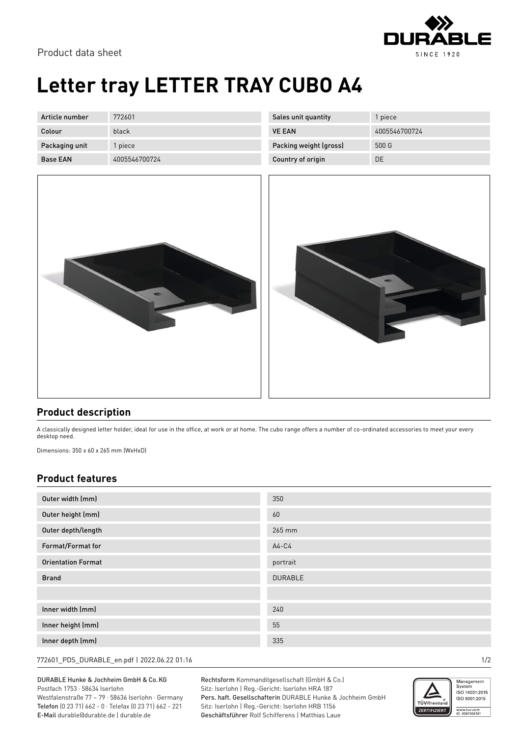

Product data sheet

## **Letter tray LETTER TRAY CUBO A4**

| Article number  | 772601        |
|-----------------|---------------|
| Colour          | black         |
| Packaging unit  | 1 piece       |
| <b>Base FAN</b> | 4005546700724 |

| Sales unit quantity    | 1 piece       |
|------------------------|---------------|
| <b>VE FAN</b>          | 4005546700724 |
| Packing weight (gross) | 500 G         |
| Country of origin      | DE            |





## **Product description**

A classically designed letter holder, ideal for use in the office, at work or at home. The cubo range offers a number of co-ordinated accessories to meet your every desktop need.

Dimensions: 350 x 60 x 265 mm (WxHxD)

## **Product features**

| Outer width (mm)          | 350            |
|---------------------------|----------------|
| Outer height (mm)         | 60             |
| Outer depth/length        | 265 mm         |
| Format/Format for         | $A4-C4$        |
| <b>Orientation Format</b> | portrait       |
| <b>Brand</b>              | <b>DURABLE</b> |
|                           |                |
| Inner width (mm)          | 240            |
| Inner height (mm)         | 55             |
| Inner depth (mm)          | 335            |

772601\_PDS\_DURABLE\_en.pdf | 2022.06.22 01:16 1/2

DURABLE Hunke & Jochheim GmbH & Co.KG Postfach 1753 · 58634 Iserlohn Westfalenstraße 77 – 79 · 58636 Iserlohn · Germany Telefon (0 23 71) 662 - 0 · Telefax (0 23 71) 662 - 221

E-Mail durable@durable.de | durable.de

Rechtsform Kommanditgesellschaft (GmbH & Co.) Sitz: Iserlohn | Reg.-Gericht: Iserlohn HRA 187 Pers. haft. Gesellschafterin DURABLE Hunke & Jochheim GmbH Sitz: Iserlohn | Reg.-Gericht: Iserlohn HRB 1156 Geschäftsführer Rolf Schifferens | Matthias Laue